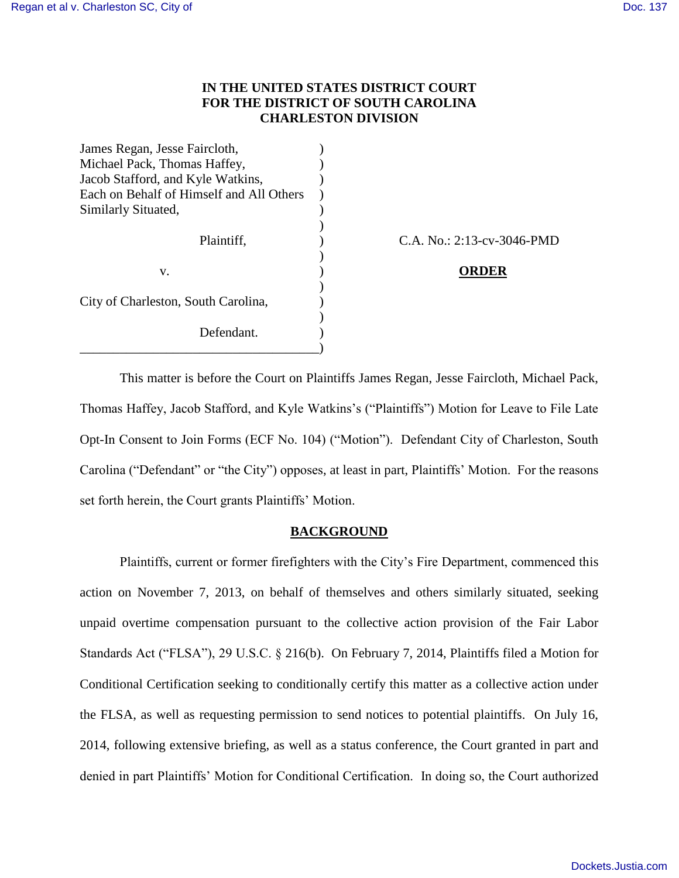## **IN THE UNITED STATES DISTRICT COURT FOR THE DISTRICT OF SOUTH CAROLINA CHARLESTON DIVISION**

| James Regan, Jesse Faircloth,            |  |
|------------------------------------------|--|
| Michael Pack, Thomas Haffey,             |  |
| Jacob Stafford, and Kyle Watkins,        |  |
| Each on Behalf of Himself and All Others |  |
| Similarly Situated,                      |  |
|                                          |  |
| Plaintiff,                               |  |
|                                          |  |
| v.                                       |  |
|                                          |  |
| City of Charleston, South Carolina,      |  |
|                                          |  |
| Defendant.                               |  |
|                                          |  |

 $CA. No.: 2:13-cv-3046-PMD$ 

### v. ) **ORDER**

This matter is before the Court on Plaintiffs James Regan, Jesse Faircloth, Michael Pack, Thomas Haffey, Jacob Stafford, and Kyle Watkins's ("Plaintiffs") Motion for Leave to File Late Opt-In Consent to Join Forms (ECF No. 104) ("Motion"). Defendant City of Charleston, South Carolina ("Defendant" or "the City") opposes, at least in part, Plaintiffs' Motion. For the reasons set forth herein, the Court grants Plaintiffs' Motion.

#### **BACKGROUND**

Plaintiffs, current or former firefighters with the City's Fire Department, commenced this action on November 7, 2013, on behalf of themselves and others similarly situated, seeking unpaid overtime compensation pursuant to the collective action provision of the Fair Labor Standards Act ("FLSA"), 29 U.S.C. § 216(b). On February 7, 2014, Plaintiffs filed a Motion for Conditional Certification seeking to conditionally certify this matter as a collective action under the FLSA, as well as requesting permission to send notices to potential plaintiffs. On July 16, 2014, following extensive briefing, as well as a status conference, the Court granted in part and denied in part Plaintiffs' Motion for Conditional Certification. In doing so, the Court authorized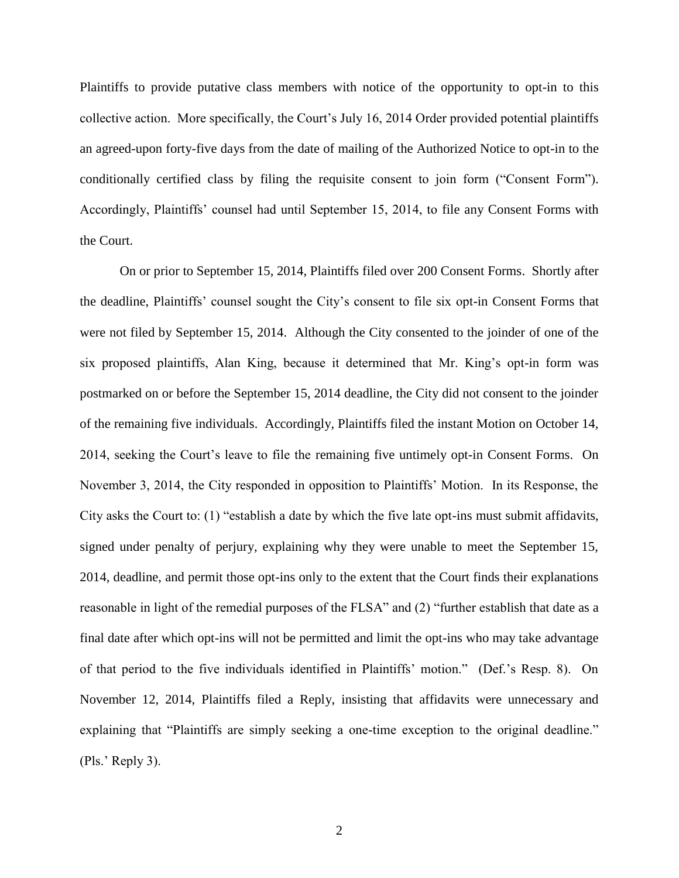Plaintiffs to provide putative class members with notice of the opportunity to opt-in to this collective action. More specifically, the Court's July 16, 2014 Order provided potential plaintiffs an agreed-upon forty-five days from the date of mailing of the Authorized Notice to opt-in to the conditionally certified class by filing the requisite consent to join form ("Consent Form"). Accordingly, Plaintiffs' counsel had until September 15, 2014, to file any Consent Forms with the Court.

On or prior to September 15, 2014, Plaintiffs filed over 200 Consent Forms. Shortly after the deadline, Plaintiffs' counsel sought the City's consent to file six opt-in Consent Forms that were not filed by September 15, 2014. Although the City consented to the joinder of one of the six proposed plaintiffs, Alan King, because it determined that Mr. King's opt-in form was postmarked on or before the September 15, 2014 deadline, the City did not consent to the joinder of the remaining five individuals. Accordingly, Plaintiffs filed the instant Motion on October 14, 2014, seeking the Court's leave to file the remaining five untimely opt-in Consent Forms. On November 3, 2014, the City responded in opposition to Plaintiffs' Motion. In its Response, the City asks the Court to: (1) "establish a date by which the five late opt-ins must submit affidavits, signed under penalty of perjury, explaining why they were unable to meet the September 15, 2014, deadline, and permit those opt-ins only to the extent that the Court finds their explanations reasonable in light of the remedial purposes of the FLSA" and (2) "further establish that date as a final date after which opt-ins will not be permitted and limit the opt-ins who may take advantage of that period to the five individuals identified in Plaintiffs' motion." (Def.'s Resp. 8). On November 12, 2014, Plaintiffs filed a Reply, insisting that affidavits were unnecessary and explaining that "Plaintiffs are simply seeking a one-time exception to the original deadline." (Pls.' Reply 3).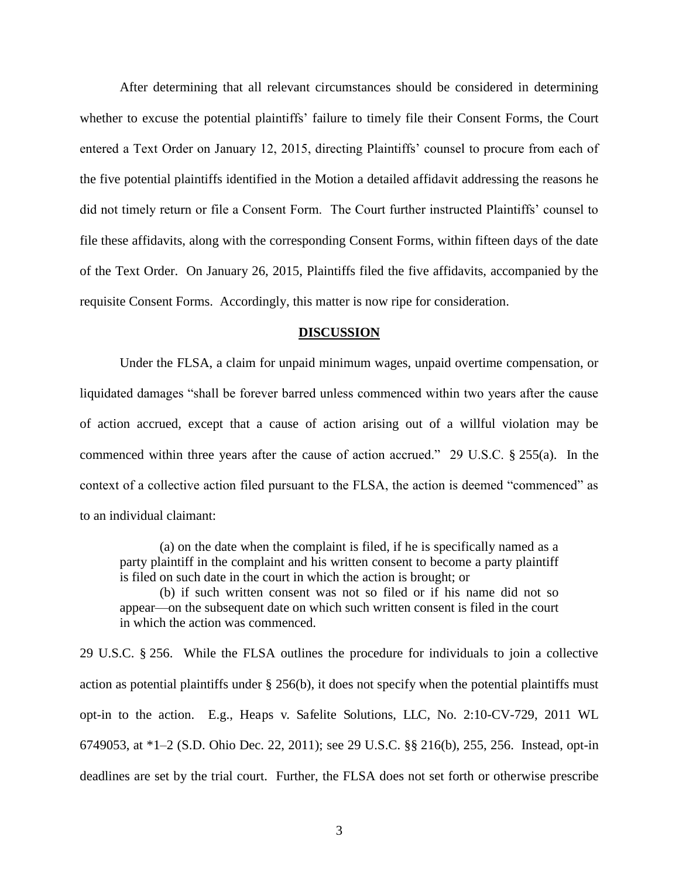After determining that all relevant circumstances should be considered in determining whether to excuse the potential plaintiffs' failure to timely file their Consent Forms, the Court entered a Text Order on January 12, 2015, directing Plaintiffs' counsel to procure from each of the five potential plaintiffs identified in the Motion a detailed affidavit addressing the reasons he did not timely return or file a Consent Form. The Court further instructed Plaintiffs' counsel to file these affidavits, along with the corresponding Consent Forms, within fifteen days of the date of the Text Order. On January 26, 2015, Plaintiffs filed the five affidavits, accompanied by the requisite Consent Forms. Accordingly, this matter is now ripe for consideration.

#### **DISCUSSION**

Under the FLSA, a claim for unpaid minimum wages, unpaid overtime compensation, or liquidated damages "shall be forever barred unless commenced within two years after the cause of action accrued, except that a cause of action arising out of a willful violation may be commenced within three years after the cause of action accrued." 29 U.S.C. § 255(a). In the context of a collective action filed pursuant to the FLSA, the action is deemed "commenced" as to an individual claimant:

(a) on the date when the complaint is filed, if he is specifically named as a party plaintiff in the complaint and his written consent to become a party plaintiff is filed on such date in the court in which the action is brought; or

(b) if such written consent was not so filed or if his name did not so appear—on the subsequent date on which such written consent is filed in the court in which the action was commenced.

29 U.S.C. § 256. While the FLSA outlines the procedure for individuals to join a collective action as potential plaintiffs under § 256(b), it does not specify when the potential plaintiffs must opt-in to the action. E.g., Heaps v. Safelite Solutions, LLC, No. 2:10-CV-729, 2011 WL 6749053, at \*1–2 (S.D. Ohio Dec. 22, 2011); see 29 U.S.C. §§ 216(b), 255, 256. Instead, opt-in deadlines are set by the trial court. Further, the FLSA does not set forth or otherwise prescribe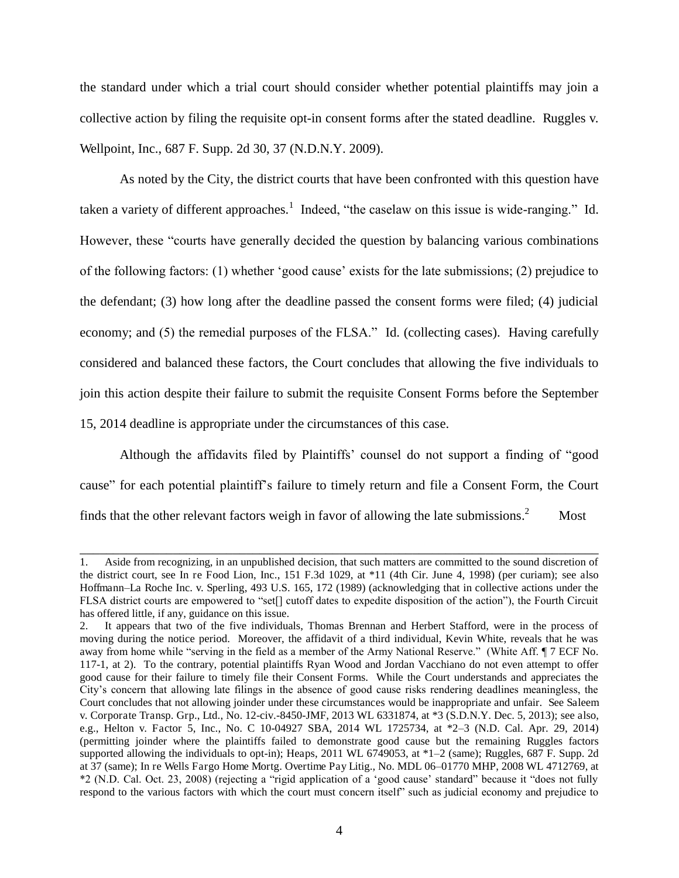the standard under which a trial court should consider whether potential plaintiffs may join a collective action by filing the requisite opt-in consent forms after the stated deadline. Ruggles v. Wellpoint, Inc., 687 F. Supp. 2d 30, 37 (N.D.N.Y. 2009).

As noted by the City, the district courts that have been confronted with this question have taken a variety of different approaches.<sup>1</sup> Indeed, "the caselaw on this issue is wide-ranging." Id. However, these "courts have generally decided the question by balancing various combinations of the following factors: (1) whether 'good cause' exists for the late submissions; (2) prejudice to the defendant; (3) how long after the deadline passed the consent forms were filed; (4) judicial economy; and (5) the remedial purposes of the FLSA." Id. (collecting cases). Having carefully considered and balanced these factors, the Court concludes that allowing the five individuals to join this action despite their failure to submit the requisite Consent Forms before the September 15, 2014 deadline is appropriate under the circumstances of this case.

Although the affidavits filed by Plaintiffs' counsel do not support a finding of "good cause" for each potential plaintiff's failure to timely return and file a Consent Form, the Court finds that the other relevant factors weigh in favor of allowing the late submissions.<sup>2</sup> Most

\_\_\_\_\_\_\_\_\_\_\_\_\_\_\_\_\_\_\_\_\_\_\_\_\_\_\_\_\_\_\_\_\_\_\_\_\_\_\_\_\_\_\_\_\_\_\_\_\_\_\_\_\_\_\_\_\_\_\_\_\_\_\_\_\_\_\_\_\_\_\_\_\_\_\_\_\_\_

<sup>1.</sup> Aside from recognizing, in an unpublished decision, that such matters are committed to the sound discretion of the district court, see In re Food Lion, Inc., 151 F.3d 1029, at \*11 (4th Cir. June 4, 1998) (per curiam); see also Hoffmann*–*La Roche Inc. v. Sperling, 493 U.S. 165, 172 (1989) (acknowledging that in collective actions under the FLSA district courts are empowered to "set[] cutoff dates to expedite disposition of the action"), the Fourth Circuit has offered little, if any, guidance on this issue.

<sup>2.</sup> It appears that two of the five individuals, Thomas Brennan and Herbert Stafford, were in the process of moving during the notice period. Moreover, the affidavit of a third individual, Kevin White, reveals that he was away from home while "serving in the field as a member of the Army National Reserve." (White Aff. ¶ 7 ECF No. 117-1, at 2). To the contrary, potential plaintiffs Ryan Wood and Jordan Vacchiano do not even attempt to offer good cause for their failure to timely file their Consent Forms. While the Court understands and appreciates the City's concern that allowing late filings in the absence of good cause risks rendering deadlines meaningless, the Court concludes that not allowing joinder under these circumstances would be inappropriate and unfair. See Saleem v. Corporate Transp. Grp., Ltd., No. 12-civ.-8450-JMF, 2013 WL 6331874, at \*3 (S.D.N.Y. Dec. 5, 2013); see also, e.g., Helton v. Factor 5, Inc., No. C 10-04927 SBA, 2014 WL 1725734, at \*2–3 (N.D. Cal. Apr. 29, 2014) (permitting joinder where the plaintiffs failed to demonstrate good cause but the remaining Ruggles factors supported allowing the individuals to opt-in); Heaps, 2011 WL 6749053, at  $*1-2$  (same); Ruggles, 687 F. Supp. 2d at 37 (same); In re Wells Fargo Home Mortg. Overtime Pay Litig., No. MDL 06–01770 MHP, 2008 WL 4712769, at \*2 (N.D. Cal. Oct. 23, 2008) (rejecting a "rigid application of a 'good cause' standard" because it "does not fully respond to the various factors with which the court must concern itself" such as judicial economy and prejudice to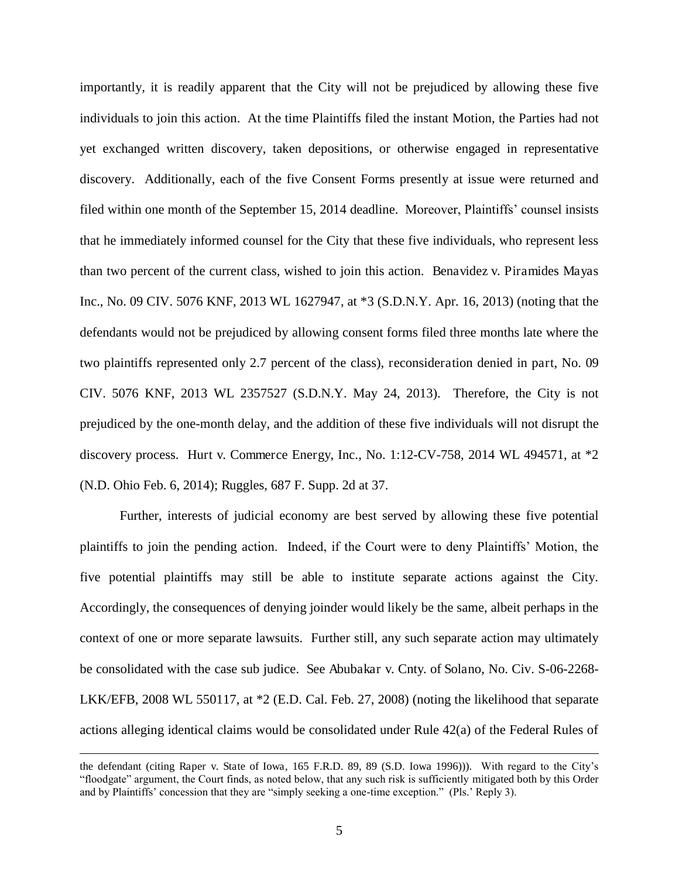importantly, it is readily apparent that the City will not be prejudiced by allowing these five individuals to join this action. At the time Plaintiffs filed the instant Motion, the Parties had not yet exchanged written discovery, taken depositions, or otherwise engaged in representative discovery. Additionally, each of the five Consent Forms presently at issue were returned and filed within one month of the September 15, 2014 deadline. Moreover, Plaintiffs' counsel insists that he immediately informed counsel for the City that these five individuals, who represent less than two percent of the current class, wished to join this action. Benavidez v. Piramides Mayas Inc., No. 09 CIV. 5076 KNF, 2013 WL 1627947, at \*3 (S.D.N.Y. Apr. 16, 2013) (noting that the defendants would not be prejudiced by allowing consent forms filed three months late where the two plaintiffs represented only 2.7 percent of the class), reconsideration denied in part, No. 09 CIV. 5076 KNF, 2013 WL 2357527 (S.D.N.Y. May 24, 2013). Therefore, the City is not prejudiced by the one-month delay, and the addition of these five individuals will not disrupt the discovery process. Hurt v. Commerce Energy, Inc., No. 1:12-CV-758, 2014 WL 494571, at \*2 (N.D. Ohio Feb. 6, 2014); Ruggles, 687 F. Supp. 2d at 37.

 Further, interests of judicial economy are best served by allowing these five potential plaintiffs to join the pending action. Indeed, if the Court were to deny Plaintiffs' Motion, the five potential plaintiffs may still be able to institute separate actions against the City. Accordingly, the consequences of denying joinder would likely be the same, albeit perhaps in the context of one or more separate lawsuits. Further still, any such separate action may ultimately be consolidated with the case sub judice. See Abubakar v. Cnty. of Solano, No. Civ. S-06-2268- LKK/EFB, 2008 WL 550117, at \*2 (E.D. Cal. Feb. 27, 2008) (noting the likelihood that separate actions alleging identical claims would be consolidated under Rule 42(a) of the Federal Rules of

 $\overline{a}$ 

the defendant (citing Raper v. State of Iowa, 165 F.R.D. 89, 89 (S.D. Iowa 1996))). With regard to the City's "floodgate" argument, the Court finds, as noted below, that any such risk is sufficiently mitigated both by this Order and by Plaintiffs' concession that they are "simply seeking a one-time exception." (Pls.' Reply 3).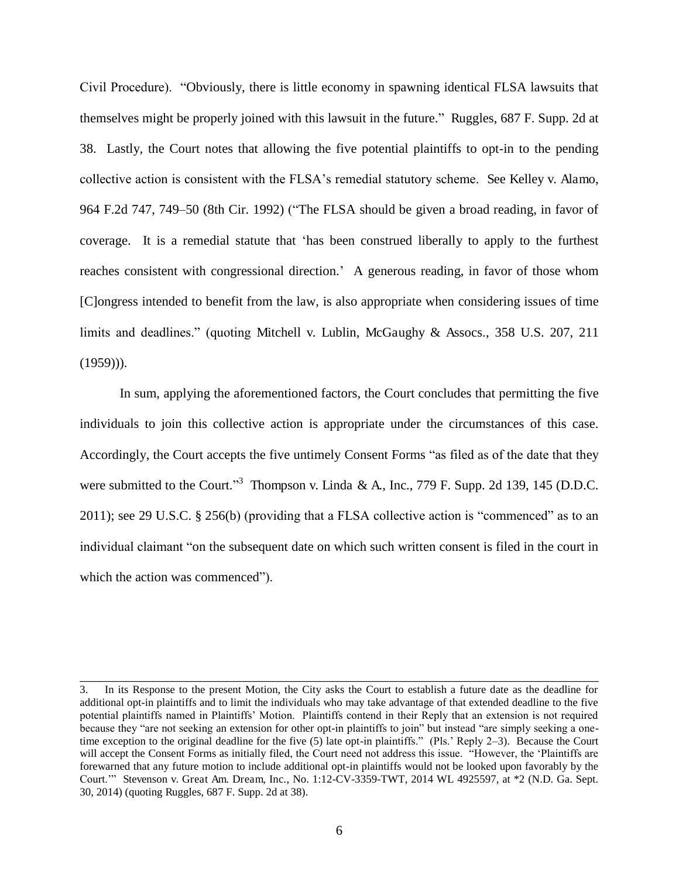Civil Procedure). "Obviously, there is little economy in spawning identical FLSA lawsuits that themselves might be properly joined with this lawsuit in the future." Ruggles, 687 F. Supp. 2d at 38. Lastly, the Court notes that allowing the five potential plaintiffs to opt-in to the pending collective action is consistent with the FLSA's remedial statutory scheme. See Kelley v. Alamo, 964 F.2d 747, 749–50 (8th Cir. 1992) ("The FLSA should be given a broad reading, in favor of coverage. It is a remedial statute that 'has been construed liberally to apply to the furthest reaches consistent with congressional direction.' A generous reading, in favor of those whom [C]ongress intended to benefit from the law, is also appropriate when considering issues of time limits and deadlines." (quoting Mitchell v. Lublin, McGaughy & Assocs., 358 U.S. 207, 211  $(1959)$ ).

In sum, applying the aforementioned factors, the Court concludes that permitting the five individuals to join this collective action is appropriate under the circumstances of this case. Accordingly, the Court accepts the five untimely Consent Forms "as filed as of the date that they were submitted to the Court."<sup>3</sup> Thompson v. Linda & A., Inc., 779 F. Supp. 2d 139, 145 (D.D.C. 2011); see 29 U.S.C. § 256(b) (providing that a FLSA collective action is "commenced" as to an individual claimant "on the subsequent date on which such written consent is filed in the court in which the action was commenced").

\_\_\_\_\_\_\_\_\_\_\_\_\_\_\_\_\_\_\_\_\_\_\_\_\_\_\_\_\_\_\_\_\_\_\_\_\_\_\_\_\_\_\_\_\_\_\_\_\_\_\_\_\_\_\_\_\_\_\_\_\_\_\_\_\_\_\_\_\_\_\_\_\_\_\_\_\_\_

<sup>3.</sup> In its Response to the present Motion, the City asks the Court to establish a future date as the deadline for additional opt-in plaintiffs and to limit the individuals who may take advantage of that extended deadline to the five potential plaintiffs named in Plaintiffs' Motion. Plaintiffs contend in their Reply that an extension is not required because they "are not seeking an extension for other opt-in plaintiffs to join" but instead "are simply seeking a onetime exception to the original deadline for the five (5) late opt-in plaintiffs." (Pls.' Reply 2–3). Because the Court will accept the Consent Forms as initially filed, the Court need not address this issue. "However, the 'Plaintiffs are forewarned that any future motion to include additional opt-in plaintiffs would not be looked upon favorably by the Court.'" Stevenson v. Great Am. Dream, Inc., No. 1:12-CV-3359-TWT, 2014 WL 4925597, at \*2 (N.D. Ga. Sept. 30, 2014) (quoting Ruggles, 687 F. Supp. 2d at 38).